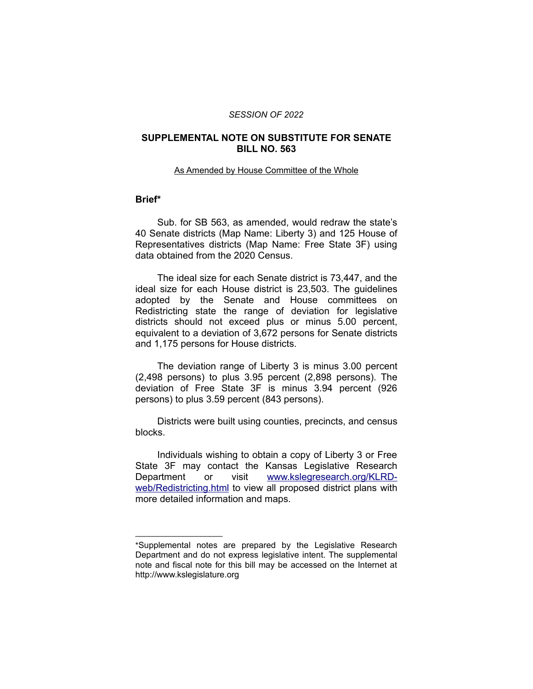#### *SESSION OF 2022*

# **SUPPLEMENTAL NOTE ON SUBSTITUTE FOR SENATE BILL NO. 563**

#### As Amended by House Committee of the Whole

## **Brief\***

Sub. for SB 563, as amended, would redraw the state's 40 Senate districts (Map Name: Liberty 3) and 125 House of Representatives districts (Map Name: Free State 3F) using data obtained from the 2020 Census.

The ideal size for each Senate district is 73,447, and the ideal size for each House district is 23,503. The guidelines adopted by the Senate and House committees on Redistricting state the range of deviation for legislative districts should not exceed plus or minus 5.00 percent, equivalent to a deviation of 3,672 persons for Senate districts and 1,175 persons for House districts.

The deviation range of Liberty 3 is minus 3.00 percent (2,498 persons) to plus 3.95 percent (2,898 persons). The deviation of Free State 3F is minus 3.94 percent (926 persons) to plus 3.59 percent (843 persons).

Districts were built using counties, precincts, and census blocks.

Individuals wishing to obtain a copy of Liberty 3 or Free State 3F may contact the Kansas Legislative Research Department or visit [www.kslegresearch.org/KLRD](http://www.kslegresearch.org/KLRD-web/Redistricting.html)[web/Redistricting.html](http://www.kslegresearch.org/KLRD-web/Redistricting.html) to view all proposed district plans with more detailed information and maps.

 $\overline{\phantom{a}}$  , where  $\overline{\phantom{a}}$  , where  $\overline{\phantom{a}}$ 

<sup>\*</sup>Supplemental notes are prepared by the Legislative Research Department and do not express legislative intent. The supplemental note and fiscal note for this bill may be accessed on the Internet at http://www.kslegislature.org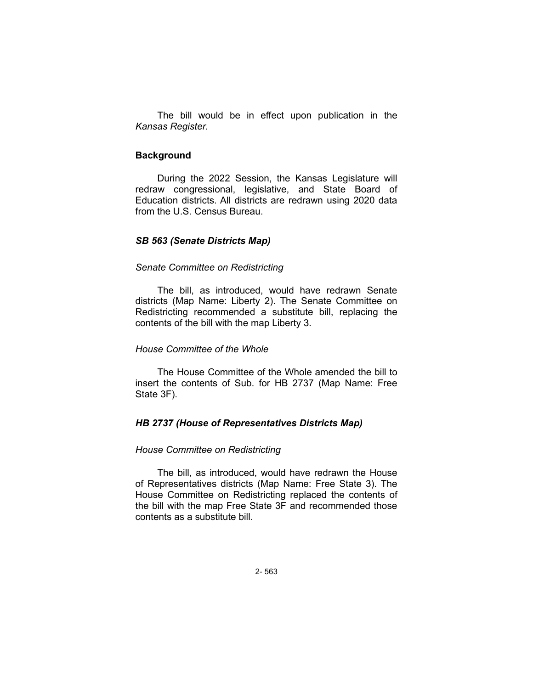The bill would be in effect upon publication in the *Kansas Register.*

# **Background**

During the 2022 Session, the Kansas Legislature will redraw congressional, legislative, and State Board of Education districts. All districts are redrawn using 2020 data from the U.S. Census Bureau.

#### *SB 563 (Senate Districts Map)*

## *Senate Committee on Redistricting*

The bill, as introduced, would have redrawn Senate districts (Map Name: Liberty 2). The Senate Committee on Redistricting recommended a substitute bill, replacing the contents of the bill with the map Liberty 3.

# *House Committee of the Whole*

The House Committee of the Whole amended the bill to insert the contents of Sub. for HB 2737 (Map Name: Free State 3F).

# *HB 2737 (House of Representatives Districts Map)*

# *House Committee on Redistricting*

The bill, as introduced, would have redrawn the House of Representatives districts (Map Name: Free State 3). The House Committee on Redistricting replaced the contents of the bill with the map Free State 3F and recommended those contents as a substitute bill.